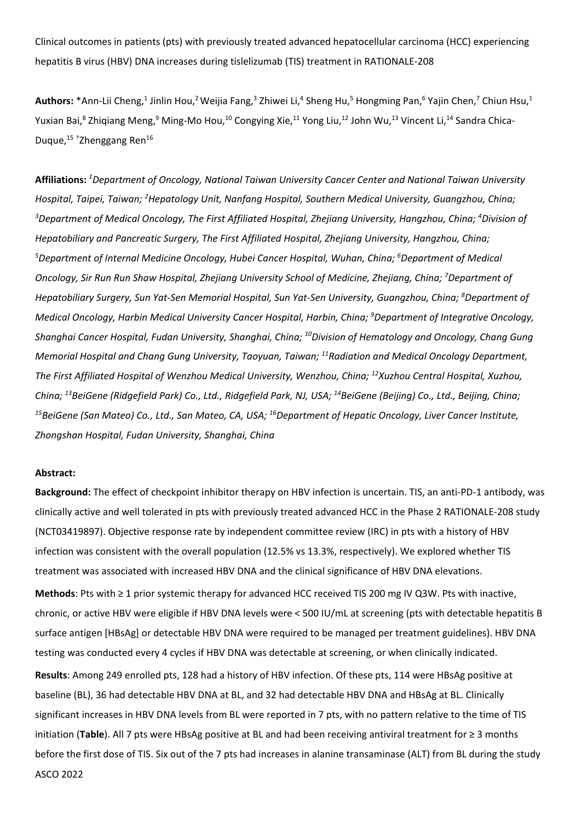Clinical outcomes in patients (pts) with previously treated advanced hepatocellular carcinoma (HCC) experiencing hepatitis B virus (HBV) DNA increases during tislelizumab (TIS) treatment in RATIONALE-208

Authors: \*Ann-Lii Cheng,<sup>1</sup> Jinlin Hou,<sup>2</sup> Weijia Fang,<sup>3</sup> Zhiwei Li,<sup>4</sup> Sheng Hu,<sup>5</sup> Hongming Pan,<sup>6</sup> Yajin Chen,<sup>7</sup> Chiun Hsu,<sup>1</sup> Yuxian Bai,<sup>8</sup> Zhiqiang Meng,<sup>9</sup> Ming-Mo Hou,<sup>10</sup> Congying Xie,<sup>11</sup> Yong Liu,<sup>12</sup> John Wu,<sup>13</sup> Vincent Li,<sup>14</sup> Sandra Chica-Duque,<sup>15+</sup>Zhenggang Ren<sup>16</sup>

**Affiliations:** *<sup>1</sup> Department of Oncology, National Taiwan University Cancer Center and National Taiwan University*  Hospital, Taipei, Taiwan; <sup>2</sup>Hepatology Unit, Nanfang Hospital, Southern Medical University, Guangzhou, China; *3 Department of Medical Oncology, The First Affiliated Hospital, Zhejiang University, Hangzhou, China; 4 Division of Hepatobiliary and Pancreatic Surgery, The First Affiliated Hospital, Zhejiang University, Hangzhou, China; 5 Department of Internal Medicine Oncology, Hubei Cancer Hospital, Wuhan, China; 6 Department of Medical Oncology, Sir Run Run Shaw Hospital, Zhejiang University School of Medicine, Zhejiang, China; 7 Department of Hepatobiliary Surgery, Sun Yat-Sen Memorial Hospital, Sun Yat-Sen University, Guangzhou, China; 8 Department of Medical Oncology, Harbin Medical University Cancer Hospital, Harbin, China; 9 Department of Integrative Oncology, Shanghai Cancer Hospital, Fudan University, Shanghai, China; 10Division of Hematology and Oncology, Chang Gung Memorial Hospital and Chang Gung University, Taoyuan, Taiwan; 11Radiation and Medical Oncology Department, The First Affiliated Hospital of Wenzhou Medical University, Wenzhou, China; 12Xuzhou Central Hospital, Xuzhou, China; 13BeiGene (Ridgefield Park) Co., Ltd., Ridgefield Park, NJ, USA; 14BeiGene (Beijing) Co., Ltd., Beijing, China;*  <sup>15</sup>BeiGene (San Mateo) Co., Ltd., San Mateo, CA, USA; <sup>16</sup>Department of Hepatic Oncology, Liver Cancer Institute, *Zhongshan Hospital, Fudan University, Shanghai, China*

## **Abstract:**

**Background:** The effect of checkpoint inhibitor therapy on HBV infection is uncertain. TIS, an anti-PD-1 antibody, was clinically active and well tolerated in pts with previously treated advanced HCC in the Phase 2 RATIONALE-208 study (NCT03419897). Objective response rate by independent committee review (IRC) in pts with a history of HBV infection was consistent with the overall population (12.5% vs 13.3%, respectively). We explored whether TIS treatment was associated with increased HBV DNA and the clinical significance of HBV DNA elevations.

**Methods**: Pts with ≥ 1 prior systemic therapy for advanced HCC received TIS 200 mg IV Q3W. Pts with inactive, chronic, or active HBV were eligible if HBV DNA levels were < 500 IU/mL at screening (pts with detectable hepatitis B surface antigen [HBsAg] or detectable HBV DNA were required to be managed per treatment guidelines). HBV DNA testing was conducted every 4 cycles if HBV DNA was detectable at screening, or when clinically indicated.

ASCO 2022 **Results**: Among 249 enrolled pts, 128 had a history of HBV infection. Of these pts, 114 were HBsAg positive at baseline (BL), 36 had detectable HBV DNA at BL, and 32 had detectable HBV DNA and HBsAg at BL. Clinically significant increases in HBV DNA levels from BL were reported in 7 pts, with no pattern relative to the time of TIS initiation (**Table**). All 7 pts were HBsAg positive at BL and had been receiving antiviral treatment for ≥ 3 months before the first dose of TIS. Six out of the 7 pts had increases in alanine transaminase (ALT) from BL during the study